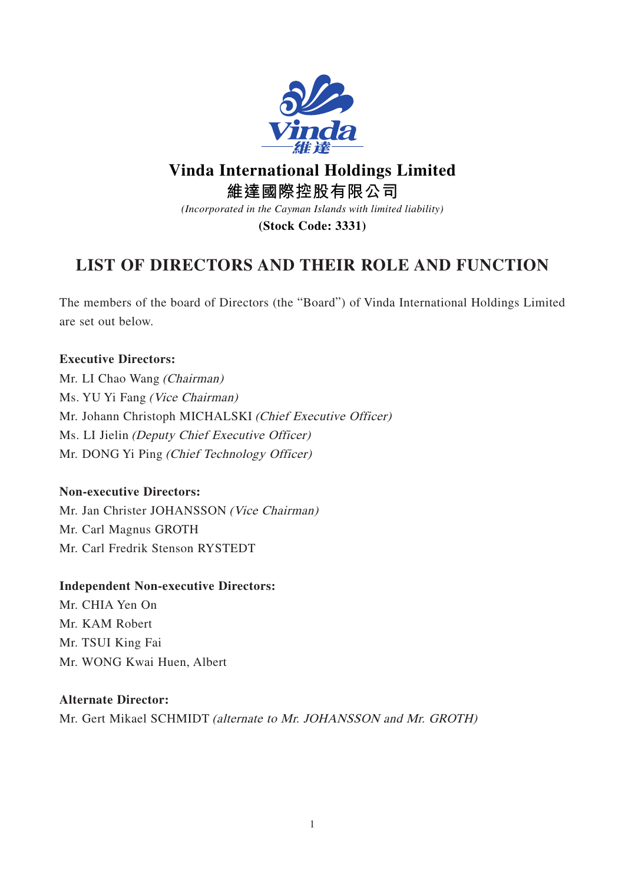

# **Vinda International Holdings Limited**

**維達國際控股有限公司**

*(Incorporated in the Cayman Islands with limited liability)*

**(Stock Code: 3331)**

# **LIST OF DIRECTORS AND THEIR ROLE AND FUNCTION**

The members of the board of Directors (the "Board") of Vinda International Holdings Limited are set out below.

# **Executive Directors:**

Mr. LI Chao Wang (Chairman) Ms. YU Yi Fang (Vice Chairman) Mr. Johann Christoph MICHALSKI (Chief Executive Officer) Ms. LI Jielin (Deputy Chief Executive Officer) Mr. DONG Yi Ping (Chief Technology Officer)

# **Non-executive Directors:**

Mr. Jan Christer JOHANSSON (Vice Chairman) Mr. Carl Magnus GROTH Mr. Carl Fredrik Stenson RYSTEDT

# **Independent Non-executive Directors:**

Mr. CHIA Yen On Mr. KAM Robert Mr. TSUI King Fai Mr. WONG Kwai Huen, Albert

#### **Alternate Director:**

Mr. Gert Mikael SCHMIDT (alternate to Mr. JOHANSSON and Mr. GROTH)